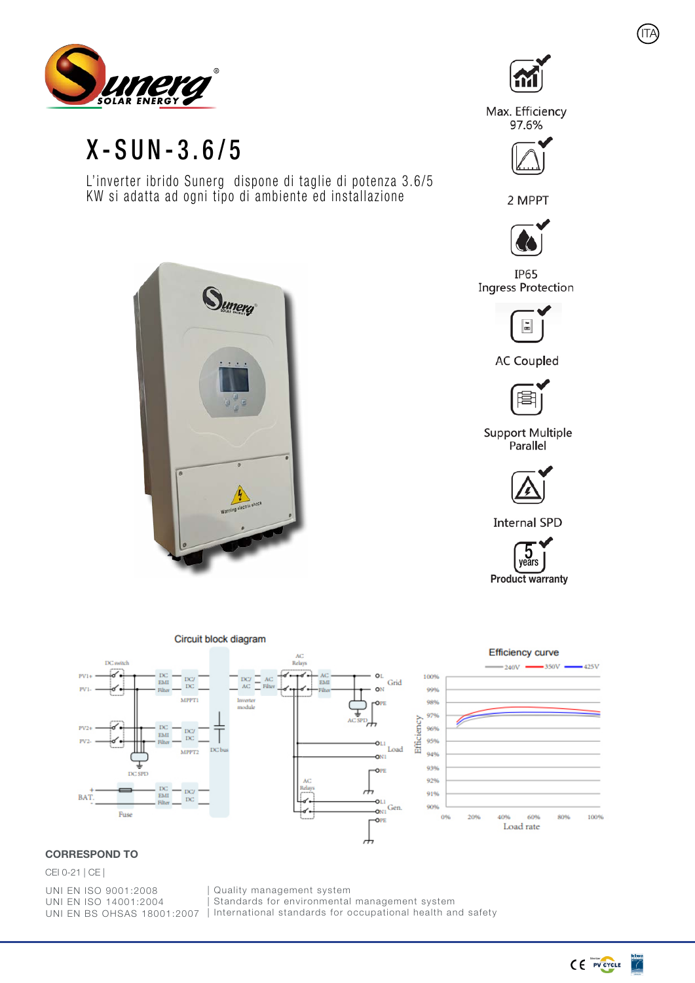

## X-SUN-3.6/5

L'inverter ibrido Sunerg dispone di taglie di potenza 3.6/5 KW si adatta ad ogni tipo di ambiente ed installazione



ITA

Max. Efficiency 97.6%



2 MPPT



**IP65 Ingress Protection** 



**AC Coupled** 



**Support Multiple** Parallel



**Internal SPD** 





## CORRESPOND TO

## CEI 0-21 | CE |

UNI EN ISO 9001:2008 UNI EN ISO 14001:2004

UNI EN BS OHSAS 18001:2007 | International standards for occupational health and safety Quality management system Standards for environmental management system

 $C \in \mathbb{F}$  pv cycle